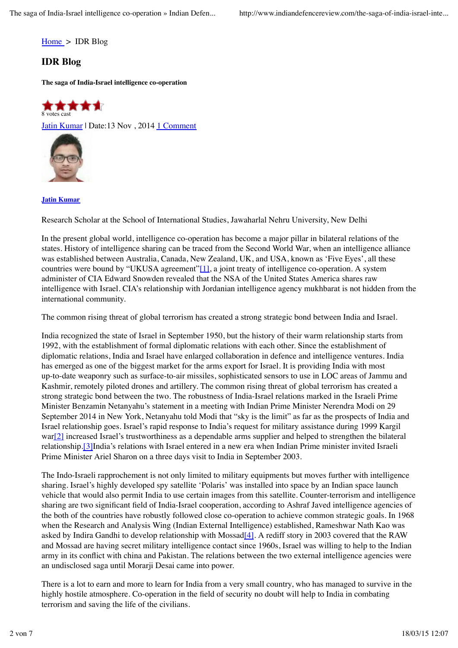Home > IDR Blog

## **IDR Blog**

**The saga of India-Israel intelligence co-operation**



Jatin Kumar | Date:13 Nov, 2014 1 Comment



**Jatin Kumar**

Research Scholar at the School of International Studies, Jawaharlal Nehru University, New Delhi

In the present global world, intelligence co-operation has become a major pillar in bilateral relations of the states. History of intelligence sharing can be traced from the Second World War, when an intelligence alliance was established between Australia, Canada, New Zealand, UK, and USA, known as 'Five Eyes', all these countries were bound by "UKUSA agreement"[1], a joint treaty of intelligence co-operation. A system administer of CIA Edward Snowden revealed that the NSA of the United States America shares raw intelligence with Israel. CIA's relationship with Jordanian intelligence agency mukhbarat is not hidden from the international community.

The common rising threat of global terrorism has created a strong strategic bond between India and Israel.

India recognized the state of Israel in September 1950, but the history of their warm relationship starts from 1992, with the establishment of formal diplomatic relations with each other. Since the establishment of diplomatic relations, India and Israel have enlarged collaboration in defence and intelligence ventures. India has emerged as one of the biggest market for the arms export for Israel. It is providing India with most up-to-date weaponry such as surface-to-air missiles, sophisticated sensors to use in LOC areas of Jammu and Kashmir, remotely piloted drones and artillery. The common rising threat of global terrorism has created a strong strategic bond between the two. The robustness of India-Israel relations marked in the Israeli Prime Minister Benzamin Netanyahu's statement in a meeting with Indian Prime Minister Nerendra Modi on 29 September 2014 in New York, Netanyahu told Modi that "sky is the limit" as far as the prospects of India and Israel relationship goes. Israel's rapid response to India's request for military assistance during 1999 Kargil war[2] increased Israel's trustworthiness as a dependable arms supplier and helped to strengthen the bilateral relationship.[3]India's relations with Israel entered in a new era when Indian Prime minister invited Israeli Prime Minister Ariel Sharon on a three days visit to India in September 2003.

The Indo-Israeli rapprochement is not only limited to military equipments but moves further with intelligence sharing. Israel's highly developed spy satellite 'Polaris' was installed into space by an Indian space launch vehicle that would also permit India to use certain images from this satellite. Counter-terrorism and intelligence sharing are two significant field of India-Israel cooperation, according to Ashraf Javed intelligence agencies of the both of the countries have robustly followed close co-operation to achieve common strategic goals. In 1968 when the Research and Analysis Wing (Indian External Intelligence) established, Rameshwar Nath Kao was asked by Indira Gandhi to develop relationship with Mossad<sup>[4]</sup>. A rediff story in 2003 covered that the RAW and Mossad are having secret military intelligence contact since 1960s, Israel was willing to help to the Indian army in its conflict with china and Pakistan. The relations between the two external intelligence agencies were an undisclosed saga until Morarji Desai came into power.

There is a lot to earn and more to learn for India from a very small country, who has managed to survive in the highly hostile atmosphere. Co-operation in the field of security no doubt will help to India in combating terrorism and saving the life of the civilians.